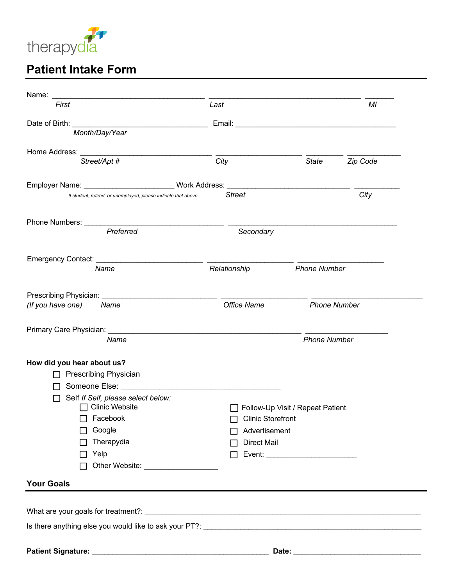

# **Patient Intake Form**

| First                                                                                                                                                                                                                          | Last                     | MI                               |          |
|--------------------------------------------------------------------------------------------------------------------------------------------------------------------------------------------------------------------------------|--------------------------|----------------------------------|----------|
|                                                                                                                                                                                                                                |                          |                                  |          |
| Month/Day/Year                                                                                                                                                                                                                 |                          |                                  |          |
| Home Address: New York Changes and Separate Address and Separate Address and Separate Address and Separate Address and Separate Address and Separate Address and Separate Address and Separate Address and Separate Address an |                          |                                  |          |
| Street/Apt #                                                                                                                                                                                                                   | City                     | <b>State</b>                     | Zip Code |
|                                                                                                                                                                                                                                |                          |                                  |          |
| If student, retired, or unemployed, please indicate that above                                                                                                                                                                 | <b>Street</b>            |                                  | City     |
|                                                                                                                                                                                                                                |                          |                                  |          |
| Preferred                                                                                                                                                                                                                      |                          |                                  |          |
|                                                                                                                                                                                                                                | Secondary                |                                  |          |
| Emergency Contact: National Contract Contact:                                                                                                                                                                                  |                          |                                  |          |
| Name                                                                                                                                                                                                                           | Relationship             | <b>Phone Number</b>              |          |
|                                                                                                                                                                                                                                |                          |                                  |          |
| Prescribing Physician: ______________                                                                                                                                                                                          |                          |                                  |          |
| (If you have one)<br>Name                                                                                                                                                                                                      | <b>Office Name</b>       | <b>Phone Number</b>              |          |
| Primary Care Physician: National Account of the Primary Care Physician:                                                                                                                                                        |                          |                                  |          |
| Name                                                                                                                                                                                                                           |                          | <b>Phone Number</b>              |          |
|                                                                                                                                                                                                                                |                          |                                  |          |
| How did you hear about us?                                                                                                                                                                                                     |                          |                                  |          |
| <b>Prescribing Physician</b><br>Someone Else:                                                                                                                                                                                  |                          |                                  |          |
| Self If Self, please select below:                                                                                                                                                                                             |                          |                                  |          |
| □ Clinic Website                                                                                                                                                                                                               |                          | Follow-Up Visit / Repeat Patient |          |
| $\Box$ Facebook                                                                                                                                                                                                                | $\Box$ Clinic Storefront |                                  |          |
| Google                                                                                                                                                                                                                         | Advertisement            |                                  |          |
| Therapydia                                                                                                                                                                                                                     | <b>Direct Mail</b>       |                                  |          |
| Yelp                                                                                                                                                                                                                           | $\perp$                  |                                  |          |
| П                                                                                                                                                                                                                              |                          |                                  |          |
|                                                                                                                                                                                                                                |                          |                                  |          |
| <b>Your Goals</b>                                                                                                                                                                                                              |                          |                                  |          |
|                                                                                                                                                                                                                                |                          |                                  |          |
|                                                                                                                                                                                                                                |                          |                                  |          |
|                                                                                                                                                                                                                                |                          |                                  |          |
|                                                                                                                                                                                                                                |                          |                                  |          |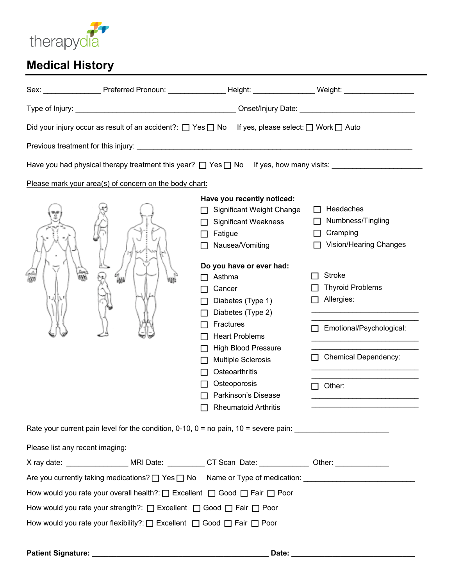

# **Medical History**

|                                                                           | Did your injury occur as result of an accident?: $\Box$ Yes $\Box$ No  | If yes, please select: $\Box$ Work $\Box$ Auto                                                                                                                                                                                                                                                                                                                                                                 |                                                                                                                                                                                                     |  |
|---------------------------------------------------------------------------|------------------------------------------------------------------------|----------------------------------------------------------------------------------------------------------------------------------------------------------------------------------------------------------------------------------------------------------------------------------------------------------------------------------------------------------------------------------------------------------------|-----------------------------------------------------------------------------------------------------------------------------------------------------------------------------------------------------|--|
|                                                                           |                                                                        |                                                                                                                                                                                                                                                                                                                                                                                                                |                                                                                                                                                                                                     |  |
|                                                                           |                                                                        | Have you had physical therapy treatment this year? $\Box$ Yes $\Box$ No If yes, how many visits:                                                                                                                                                                                                                                                                                                               |                                                                                                                                                                                                     |  |
|                                                                           | Please mark your area(s) of concern on the body chart:                 |                                                                                                                                                                                                                                                                                                                                                                                                                |                                                                                                                                                                                                     |  |
|                                                                           |                                                                        | Have you recently noticed:<br><b>Significant Weight Change</b><br><b>Significant Weakness</b><br>Fatigue<br>Nausea/Vomiting<br>Do you have or ever had:<br>Asthma<br>Cancer<br>Diabetes (Type 1)<br>Diabetes (Type 2)<br>Fractures<br><b>Heart Problems</b><br><b>High Blood Pressure</b><br><b>Multiple Sclerosis</b><br>Osteoarthritis<br>Osteoporosis<br>Parkinson's Disease<br><b>Rheumatoid Arthritis</b> | Headaches<br>l 1<br>Numbness/Tingling<br>Cramping<br>Vision/Hearing Changes<br><b>Stroke</b><br><b>Thyroid Problems</b><br>Allergies:<br>Emotional/Psychological:<br>Chemical Dependency:<br>Other: |  |
|                                                                           |                                                                        | Rate your current pain level for the condition, 0-10, 0 = no pain, 10 = severe pain: ________________________                                                                                                                                                                                                                                                                                                  |                                                                                                                                                                                                     |  |
| Please list any recent imaging:                                           |                                                                        |                                                                                                                                                                                                                                                                                                                                                                                                                |                                                                                                                                                                                                     |  |
|                                                                           |                                                                        | X ray date: _____________________ MRI Date: ___________ CT Scan Date: _____________ Other: ______________                                                                                                                                                                                                                                                                                                      |                                                                                                                                                                                                     |  |
|                                                                           |                                                                        |                                                                                                                                                                                                                                                                                                                                                                                                                |                                                                                                                                                                                                     |  |
| How would you rate your overall health?: □ Excellent □ Good □ Fair □ Poor |                                                                        |                                                                                                                                                                                                                                                                                                                                                                                                                |                                                                                                                                                                                                     |  |
|                                                                           | How would you rate your strength?: □ Excellent □ Good □ Fair □ Poor    |                                                                                                                                                                                                                                                                                                                                                                                                                |                                                                                                                                                                                                     |  |
|                                                                           | How would you rate your flexibility?: □ Excellent □ Good □ Fair □ Poor |                                                                                                                                                                                                                                                                                                                                                                                                                |                                                                                                                                                                                                     |  |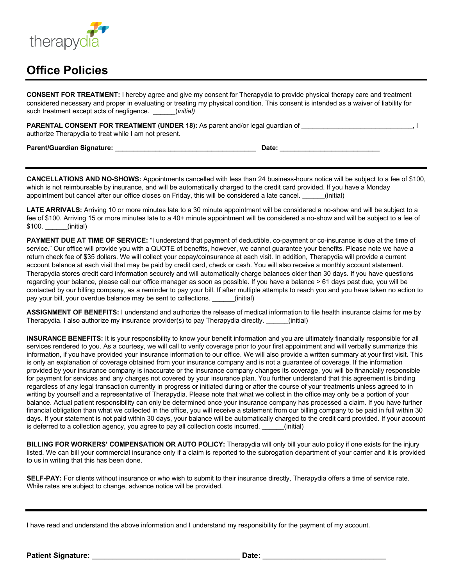

## **Office Policies**

**CONSENT FOR TREATMENT:** I hereby agree and give my consent for Therapydia to provide physical therapy care and treatment considered necessary and proper in evaluating or treating my physical condition. This consent is intended as a waiver of liability for such treatment except acts of negligence. \_\_\_\_\_\_(*initial)*

| PARENTAL CONSENT FOR TREATMENT (UNDER 18): As parent and/or legal guardian of |  |
|-------------------------------------------------------------------------------|--|
| authorize Therapydia to treat while I am not present.                         |  |

**Parent/Guardian Signature: \_\_\_\_\_\_\_\_\_\_\_\_\_\_\_\_\_\_\_\_\_\_\_\_\_\_\_\_\_\_\_\_\_\_\_\_\_\_ Date: \_\_\_\_\_\_\_\_\_\_\_\_\_\_\_\_\_\_\_\_\_\_\_\_\_\_\_**

**CANCELLATIONS AND NO-SHOWS:** Appointments cancelled with less than 24 business-hours notice will be subject to a fee of \$100, which is not reimbursable by insurance, and will be automatically charged to the credit card provided. If you have a Monday appointment but cancel after our office closes on Friday, this will be considered a late cancel.  $\qquad \qquad$  (initial)

**LATE ARRIVALS:** Arriving 10 or more minutes late to a 30 minute appointment will be considered a no-show and will be subject to a fee of \$100. Arriving 15 or more minutes late to a 40+ minute appointment will be considered a no-show and will be subject to a fee of \$100. *(initial)* 

**PAYMENT DUE AT TIME OF SERVICE:** "I understand that payment of deductible, co-payment or co-insurance is due at the time of service." Our office will provide you with a QUOTE of benefits, however, we cannot guarantee your benefits. Please note we have a return check fee of \$35 dollars. We will collect your copay/coinsurance at each visit. In addition, Therapydia will provide a current account balance at each visit that may be paid by credit card, check or cash. You will also receive a monthly account statement. Therapydia stores credit card information securely and will automatically charge balances older than 30 days. If you have questions regarding your balance, please call our office manager as soon as possible. If you have a balance > 61 days past due, you will be contacted by our billing company, as a reminder to pay your bill. If after multiple attempts to reach you and you have taken no action to pay your bill, your overdue balance may be sent to collections. \_\_\_\_\_\_(initial)

**ASSIGNMENT OF BENEFITS:** I understand and authorize the release of medical information to file health insurance claims for me by Therapydia. I also authorize my insurance provider(s) to pay Therapydia directly. \_\_\_\_\_\_(initial)

**INSURANCE BENEFITS:** It is your responsibility to know your benefit information and you are ultimately financially responsible for all services rendered to you. As a courtesy, we will call to verify coverage prior to your first appointment and will verbally summarize this information, if you have provided your insurance information to our office. We will also provide a written summary at your first visit. This is only an explanation of coverage obtained from your insurance company and is not a guarantee of coverage. If the information provided by your insurance company is inaccurate or the insurance company changes its coverage, you will be financially responsible for payment for services and any charges not covered by your insurance plan. You further understand that this agreement is binding regardless of any legal transaction currently in progress or initiated during or after the course of your treatments unless agreed to in writing by yourself and a representative of Therapydia. Please note that what we collect in the office may only be a portion of your balance. Actual patient responsibility can only be determined once your insurance company has processed a claim. If you have further financial obligation than what we collected in the office, you will receive a statement from our billing company to be paid in full within 30 days. If your statement is not paid within 30 days, your balance will be automatically charged to the credit card provided. If your account is deferred to a collection agency, you agree to pay all collection costs incurred. \_\_\_\_\_\_(initial)

**BILLING FOR WORKERS' COMPENSATION OR AUTO POLICY:** Therapydia will only bill your auto policy if one exists for the injury listed. We can bill your commercial insurance only if a claim is reported to the subrogation department of your carrier and it is provided to us in writing that this has been done.

**SELF-PAY:** For clients without insurance or who wish to submit to their insurance directly, Therapydia offers a time of service rate. While rates are subject to change, advance notice will be provided.

I have read and understand the above information and I understand my responsibility for the payment of my account.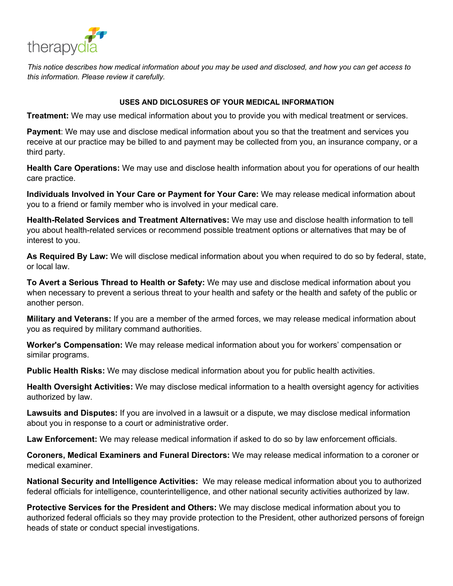

*This notice describes how medical information about you may be used and disclosed, and how you can get access to this information. Please review it carefully.* 

#### **USES AND DICLOSURES OF YOUR MEDICAL INFORMATION**

**Treatment:** We may use medical information about you to provide you with medical treatment or services.

**Payment**: We may use and disclose medical information about you so that the treatment and services you receive at our practice may be billed to and payment may be collected from you, an insurance company, or a third party.

**Health Care Operations:** We may use and disclose health information about you for operations of our health care practice.

**Individuals Involved in Your Care or Payment for Your Care:** We may release medical information about you to a friend or family member who is involved in your medical care.

**Health-Related Services and Treatment Alternatives:** We may use and disclose health information to tell you about health-related services or recommend possible treatment options or alternatives that may be of interest to you.

**As Required By Law:** We will disclose medical information about you when required to do so by federal, state, or local law.

**To Avert a Serious Thread to Health or Safety:** We may use and disclose medical information about you when necessary to prevent a serious threat to your health and safety or the health and safety of the public or another person.

**Military and Veterans:** If you are a member of the armed forces, we may release medical information about you as required by military command authorities.

**Worker's Compensation:** We may release medical information about you for workers' compensation or similar programs.

**Public Health Risks:** We may disclose medical information about you for public health activities.

**Health Oversight Activities:** We may disclose medical information to a health oversight agency for activities authorized by law.

**Lawsuits and Disputes:** If you are involved in a lawsuit or a dispute, we may disclose medical information about you in response to a court or administrative order.

**Law Enforcement:** We may release medical information if asked to do so by law enforcement officials.

**Coroners, Medical Examiners and Funeral Directors:** We may release medical information to a coroner or medical examiner.

**National Security and Intelligence Activities:** We may release medical information about you to authorized federal officials for intelligence, counterintelligence, and other national security activities authorized by law.

**Protective Services for the President and Others:** We may disclose medical information about you to authorized federal officials so they may provide protection to the President, other authorized persons of foreign heads of state or conduct special investigations.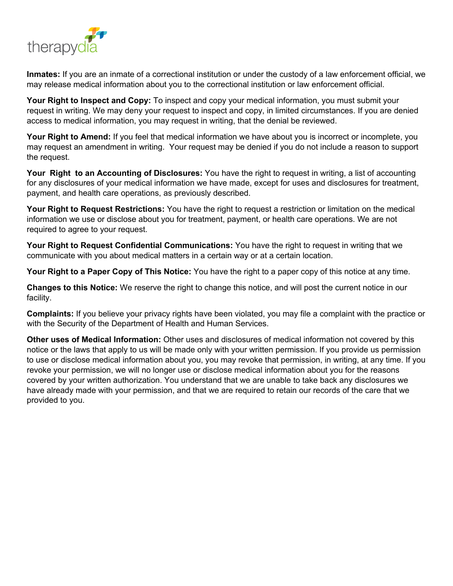

**Inmates:** If you are an inmate of a correctional institution or under the custody of a law enforcement official, we may release medical information about you to the correctional institution or law enforcement official.

**Your Right to Inspect and Copy:** To inspect and copy your medical information, you must submit your request in writing. We may deny your request to inspect and copy, in limited circumstances. If you are denied access to medical information, you may request in writing, that the denial be reviewed.

**Your Right to Amend:** If you feel that medical information we have about you is incorrect or incomplete, you may request an amendment in writing. Your request may be denied if you do not include a reason to support the request.

**Your Right to an Accounting of Disclosures:** You have the right to request in writing, a list of accounting for any disclosures of your medical information we have made, except for uses and disclosures for treatment, payment, and health care operations, as previously described.

**Your Right to Request Restrictions:** You have the right to request a restriction or limitation on the medical information we use or disclose about you for treatment, payment, or health care operations. We are not required to agree to your request.

**Your Right to Request Confidential Communications:** You have the right to request in writing that we communicate with you about medical matters in a certain way or at a certain location.

**Your Right to a Paper Copy of This Notice:** You have the right to a paper copy of this notice at any time.

**Changes to this Notice:** We reserve the right to change this notice, and will post the current notice in our facility.

**Complaints:** If you believe your privacy rights have been violated, you may file a complaint with the practice or with the Security of the Department of Health and Human Services.

**Other uses of Medical Information:** Other uses and disclosures of medical information not covered by this notice or the laws that apply to us will be made only with your written permission. If you provide us permission to use or disclose medical information about you, you may revoke that permission, in writing, at any time. If you revoke your permission, we will no longer use or disclose medical information about you for the reasons covered by your written authorization. You understand that we are unable to take back any disclosures we have already made with your permission, and that we are required to retain our records of the care that we provided to you.